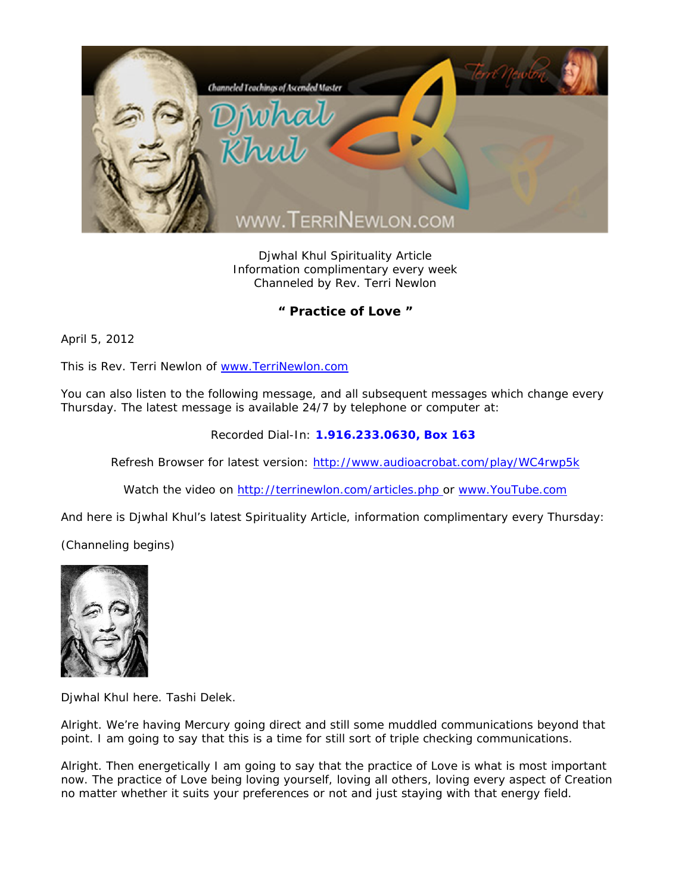

Djwhal Khul Spirituality Article Information complimentary every week Channeled by Rev. Terri Newlon

## **" Practice of Love "**

April 5, 2012

This is Rev. Terri Newlon of www.TerriNewlon.com

You can also listen to the following message, and all subsequent messages which change every Thursday. The latest message is available 24/7 by telephone or computer at:

Recorded Dial-In: **1.916.233.0630, Box 163** 

Refresh Browser for latest version: http://www.audioacrobat.com/play/WC4rwp5k

Watch the video on http://terrinewlon.com/articles.php or www.YouTube.com

And here is Djwhal Khul's latest Spirituality Article, information complimentary every Thursday:

(Channeling begins)



Djwhal Khul here. Tashi Delek.

Alright. We're having Mercury going direct and still some muddled communications beyond that point. I am going to say that this is a time for still sort of triple checking communications.

Alright. Then energetically I am going to say that the practice of Love is what is most important now. The practice of Love being loving yourself, loving all others, loving every aspect of Creation no matter whether it suits your preferences or not and just staying with that energy field.